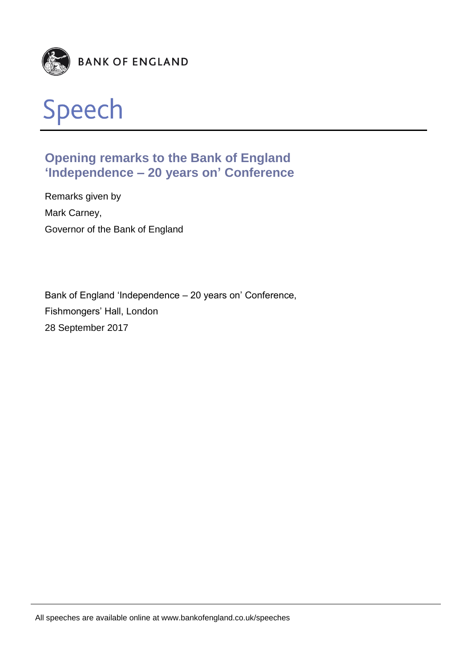



# **Opening remarks to the Bank of England 'Independence – 20 years on' Conference**

Remarks given by Mark Carney, Governor of the Bank of England

Bank of England 'Independence – 20 years on' Conference, Fishmongers' Hall, London 28 September 2017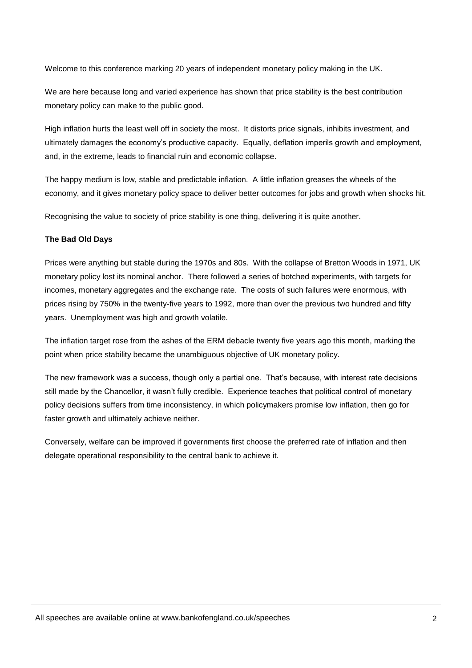Welcome to this conference marking 20 years of independent monetary policy making in the UK.

We are here because long and varied experience has shown that price stability is the best contribution monetary policy can make to the public good.

High inflation hurts the least well off in society the most. It distorts price signals, inhibits investment, and ultimately damages the economy's productive capacity. Equally, deflation imperils growth and employment, and, in the extreme, leads to financial ruin and economic collapse.

The happy medium is low, stable and predictable inflation. A little inflation greases the wheels of the economy, and it gives monetary policy space to deliver better outcomes for jobs and growth when shocks hit.

Recognising the value to society of price stability is one thing, delivering it is quite another.

## **The Bad Old Days**

Prices were anything but stable during the 1970s and 80s. With the collapse of Bretton Woods in 1971, UK monetary policy lost its nominal anchor. There followed a series of botched experiments, with targets for incomes, monetary aggregates and the exchange rate. The costs of such failures were enormous, with prices rising by 750% in the twenty-five years to 1992, more than over the previous two hundred and fifty years. Unemployment was high and growth volatile.

The inflation target rose from the ashes of the ERM debacle twenty five years ago this month, marking the point when price stability became the unambiguous objective of UK monetary policy.

The new framework was a success, though only a partial one. That's because, with interest rate decisions still made by the Chancellor, it wasn't fully credible. Experience teaches that political control of monetary policy decisions suffers from time inconsistency, in which policymakers promise low inflation, then go for faster growth and ultimately achieve neither.

Conversely, welfare can be improved if governments first choose the preferred rate of inflation and then delegate operational responsibility to the central bank to achieve it.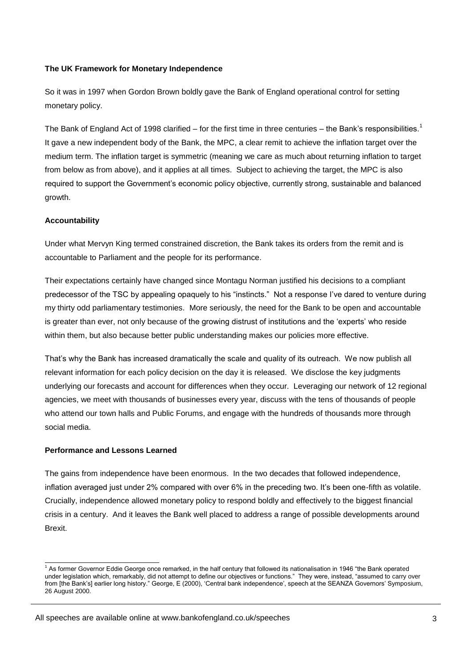### **The UK Framework for Monetary Independence**

So it was in 1997 when Gordon Brown boldly gave the Bank of England operational control for setting monetary policy.

The Bank of England Act of 1998 clarified – for the first time in three centuries – the Bank's responsibilities.<sup>1</sup> It gave a new independent body of the Bank, the MPC, a clear remit to achieve the inflation target over the medium term. The inflation target is symmetric (meaning we care as much about returning inflation to target from below as from above), and it applies at all times. Subject to achieving the target, the MPC is also required to support the Government's economic policy objective, currently strong, sustainable and balanced growth.

#### **Accountability**

Under what Mervyn King termed constrained discretion, the Bank takes its orders from the remit and is accountable to Parliament and the people for its performance.

Their expectations certainly have changed since Montagu Norman justified his decisions to a compliant predecessor of the TSC by appealing opaquely to his "instincts." Not a response I've dared to venture during my thirty odd parliamentary testimonies. More seriously, the need for the Bank to be open and accountable is greater than ever, not only because of the growing distrust of institutions and the 'experts' who reside within them, but also because better public understanding makes our policies more effective.

That's why the Bank has increased dramatically the scale and quality of its outreach. We now publish all relevant information for each policy decision on the day it is released. We disclose the key judgments underlying our forecasts and account for differences when they occur. Leveraging our network of 12 regional agencies, we meet with thousands of businesses every year, discuss with the tens of thousands of people who attend our town halls and Public Forums, and engage with the hundreds of thousands more through social media.

#### **Performance and Lessons Learned**

-

The gains from independence have been enormous. In the two decades that followed independence, inflation averaged just under 2% compared with over 6% in the preceding two. It's been one-fifth as volatile. Crucially, independence allowed monetary policy to respond boldly and effectively to the biggest financial crisis in a century. And it leaves the Bank well placed to address a range of possible developments around Brexit.

<sup>&</sup>lt;sup>1</sup> As former Governor Eddie George once remarked, in the half century that followed its nationalisation in 1946 "the Bank operated under legislation which, remarkably, did not attempt to define our objectives or functions." They were, instead, "assumed to carry over from [the Bank's] earlier long history." George, E (2000), 'Central bank independence', speech at the SEANZA Governors' Symposium, 26 August 2000.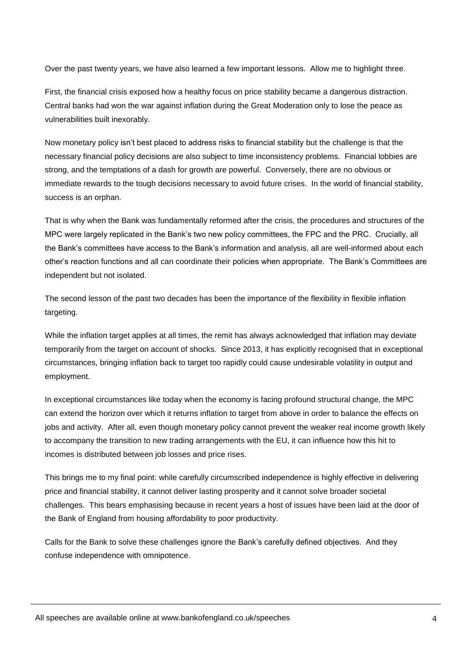Over the past twenty years, we have also learned a few important lessons. Allow me to highlight three.

First, the financial crisis exposed how a healthy focus on price stability became a dangerous distraction. Central banks had won the war against inflation during the Great Moderation only to lose the peace as vulnerabilities built inexorably.

Now monetary policy isn't best placed to address risks to financial stability but the challenge is that the necessary financial policy decisions are also subject to time inconsistency problems. Financial lobbies are strong, and the temptations of a dash for growth are powerful. Conversely, there are no obvious or immediate rewards to the tough decisions necessary to avoid future crises. In the world of financial stability, success is an orphan.

That is why when the Bank was fundamentally reformed after the crisis, the procedures and structures of the MPC were largely replicated in the Bank's two new policy committees, the FPC and the PRC. Crucially, all the Bank's committees have access to the Bank's information and analysis, all are well-informed about each other's reaction functions and all can coordinate their policies when appropriate. The Bank's Committees are independent but not isolated.

The second lesson of the past two decades has been the importance of the flexibility in flexible inflation targeting.

While the inflation target applies at all times, the remit has always acknowledged that inflation may deviate temporarily from the target on account of shocks. Since 2013, it has explicitly recognised that in exceptional circumstances, bringing inflation back to target too rapidly could cause undesirable volatility in output and employment.

In exceptional circumstances like today when the economy is facing profound structural change, the MPC can extend the horizon over which it returns inflation to target from above in order to balance the effects on jobs and activity. After all, even though monetary policy cannot prevent the weaker real income growth likely to accompany the transition to new trading arrangements with the EU, it can influence how this hit to incomes is distributed between job losses and price rises.

This brings me to my final point: while carefully circumscribed independence is highly effective in delivering price and financial stability, it cannot deliver lasting prosperity and it cannot solve broader societal challenges. This bears emphasising because in recent years a host of issues have been laid at the door of the Bank of England from housing affordability to poor productivity.

Calls for the Bank to solve these challenges ignore the Bank's carefully defined objectives. And they confuse independence with omnipotence.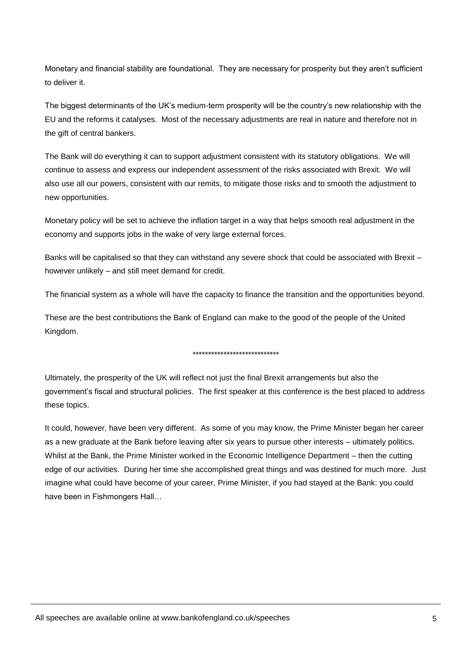Monetary and financial stability are foundational. They are necessary for prosperity but they aren't sufficient to deliver it.

The biggest determinants of the UK's medium-term prosperity will be the country's new relationship with the EU and the reforms it catalyses. Most of the necessary adjustments are real in nature and therefore not in the gift of central bankers.

The Bank will do everything it can to support adjustment consistent with its statutory obligations. We will continue to assess and express our independent assessment of the risks associated with Brexit. We will also use all our powers, consistent with our remits, to mitigate those risks and to smooth the adjustment to new opportunities.

Monetary policy will be set to achieve the inflation target in a way that helps smooth real adjustment in the economy and supports jobs in the wake of very large external forces.

Banks will be capitalised so that they can withstand any severe shock that could be associated with Brexit – however unlikely – and still meet demand for credit.

The financial system as a whole will have the capacity to finance the transition and the opportunities beyond.

These are the best contributions the Bank of England can make to the good of the people of the United Kingdom.

#### \*\*\*\*\*\*\*\*\*\*\*\*\*\*\*\*\*\*\*\*\*\*\*\*\*\*\*\*

Ultimately, the prosperity of the UK will reflect not just the final Brexit arrangements but also the government's fiscal and structural policies. The first speaker at this conference is the best placed to address these topics.

It could, however, have been very different. As some of you may know, the Prime Minister began her career as a new graduate at the Bank before leaving after six years to pursue other interests – ultimately politics. Whilst at the Bank, the Prime Minister worked in the Economic Intelligence Department – then the cutting edge of our activities. During her time she accomplished great things and was destined for much more. Just imagine what could have become of your career, Prime Minister, if you had stayed at the Bank: you could have been in Fishmongers Hall…